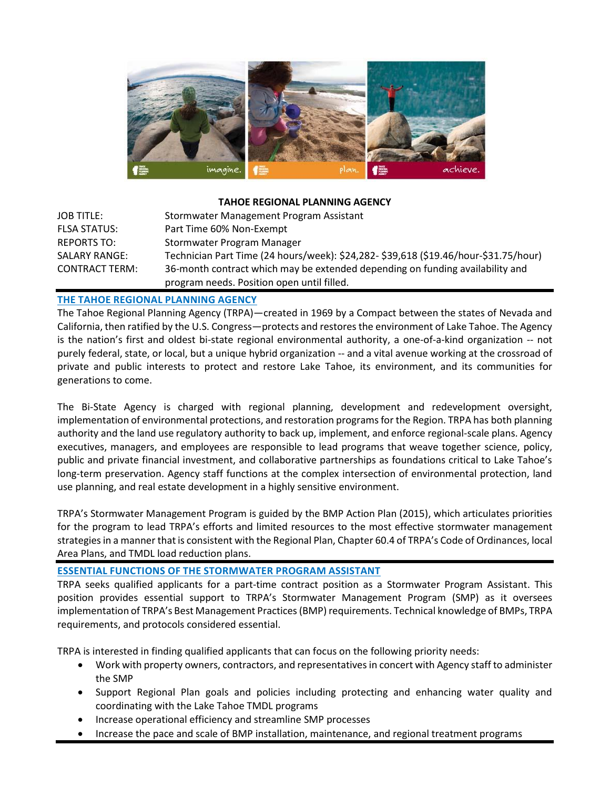

# **TAHOE REGIONAL PLANNING AGENCY**

| <b>JOB TITLE:</b>     | Stormwater Management Program Assistant                                              |
|-----------------------|--------------------------------------------------------------------------------------|
| <b>FLSA STATUS:</b>   | Part Time 60% Non-Exempt                                                             |
| REPORTS TO:           | Stormwater Program Manager                                                           |
| <b>SALARY RANGE:</b>  | Technician Part Time (24 hours/week): \$24,282- \$39,618 (\$19.46/hour-\$31.75/hour) |
| <b>CONTRACT TERM:</b> | 36-month contract which may be extended depending on funding availability and        |
|                       | program needs. Position open until filled.                                           |

# **THE TAHOE REGIONAL PLANNING AGENCY**

The Tahoe Regional Planning Agency (TRPA)—created in 1969 by a Compact between the states of Nevada and California, then ratified by the U.S. Congress—protects and restores the environment of Lake Tahoe. The Agency is the nation's first and oldest bi-state regional environmental authority, a one-of-a-kind organization -- not purely federal, state, or local, but a unique hybrid organization -- and a vital avenue working at the crossroad of private and public interests to protect and restore Lake Tahoe, its environment, and its communities for generations to come.

The Bi-State Agency is charged with regional planning, development and redevelopment oversight, implementation of environmental protections, and restoration programs for the Region. TRPA has both planning authority and the land use regulatory authority to back up, implement, and enforce regional-scale plans. Agency executives, managers, and employees are responsible to lead programs that weave together science, policy, public and private financial investment, and collaborative partnerships as foundations critical to Lake Tahoe's long-term preservation. Agency staff functions at the complex intersection of environmental protection, land use planning, and real estate development in a highly sensitive environment.

TRPA's Stormwater Management Program is guided by the BMP Action Plan (2015), which articulates priorities for the program to lead TRPA's efforts and limited resources to the most effective stormwater management strategies in a manner that is consistent with the Regional Plan, Chapter 60.4 of TRPA's Code of Ordinances, local Area Plans, and TMDL load reduction plans.

## **ESSENTIAL FUNCTIONS OF THE STORMWATER PROGRAM ASSISTANT**

TRPA seeks qualified applicants for a part-time contract position as a Stormwater Program Assistant. This position provides essential support to TRPA's Stormwater Management Program (SMP) as it oversees implementation of TRPA's Best Management Practices(BMP) requirements. Technical knowledge of BMPs, TRPA requirements, and protocols considered essential.

TRPA is interested in finding qualified applicants that can focus on the following priority needs:

- Work with property owners, contractors, and representatives in concert with Agency staff to administer the SMP
- Support Regional Plan goals and policies including protecting and enhancing water quality and coordinating with the Lake Tahoe TMDL programs
- Increase operational efficiency and streamline SMP processes
- Increase the pace and scale of BMP installation, maintenance, and regional treatment programs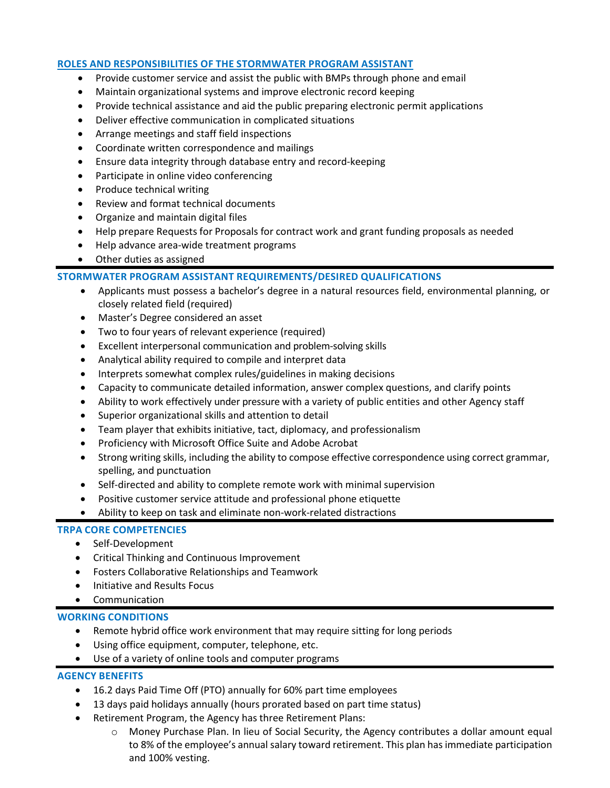### **ROLES AND RESPONSIBILITIES OF THE STORMWATER PROGRAM ASSISTANT**

- Provide customer service and assist the public with BMPs through phone and email
- Maintain organizational systems and improve electronic record keeping
- Provide technical assistance and aid the public preparing electronic permit applications
- Deliver effective communication in complicated situations
- Arrange meetings and staff field inspections
- Coordinate written correspondence and mailings
- Ensure data integrity through database entry and record-keeping
- Participate in online video conferencing
- Produce technical writing
- Review and format technical documents
- Organize and maintain digital files
- Help prepare Requests for Proposals for contract work and grant funding proposals as needed
- Help advance area-wide treatment programs
- Other duties as assigned

### **STORMWATER PROGRAM ASSISTANT REQUIREMENTS/DESIRED QUALIFICATIONS**

- Applicants must possess a bachelor's degree in a natural resources field, environmental planning, or closely related field (required)
- Master's Degree considered an asset
- Two to four years of relevant experience (required)
- Excellent interpersonal communication and problem-solving skills
- Analytical ability required to compile and interpret data
- Interprets somewhat complex rules/guidelines in making decisions
- Capacity to communicate detailed information, answer complex questions, and clarify points
- Ability to work effectively under pressure with a variety of public entities and other Agency staff
- Superior organizational skills and attention to detail
- Team player that exhibits initiative, tact, diplomacy, and professionalism
- Proficiency with Microsoft Office Suite and Adobe Acrobat
- Strong writing skills, including the ability to compose effective correspondence using correct grammar, spelling, and punctuation
- Self-directed and ability to complete remote work with minimal supervision
- Positive customer service attitude and professional phone etiquette
- Ability to keep on task and eliminate non-work-related distractions

### **TRPA CORE COMPETENCIES**

- Self-Development
- Critical Thinking and Continuous Improvement
- Fosters Collaborative Relationships and Teamwork
- Initiative and Results Focus
- Communication

## **WORKING CONDITIONS**

- Remote hybrid office work environment that may require sitting for long periods
- Using office equipment, computer, telephone, etc.
- Use of a variety of online tools and computer programs

### **AGENCY BENEFITS**

- 16.2 days Paid Time Off (PTO) annually for 60% part time employees
- 13 days paid holidays annually (hours prorated based on part time status)
- Retirement Program, the Agency has three Retirement Plans:
	- o Money Purchase Plan. In lieu of Social Security, the Agency contributes a dollar amount equal to 8% of the employee's annual salary toward retirement. This plan has immediate participation and 100% vesting.